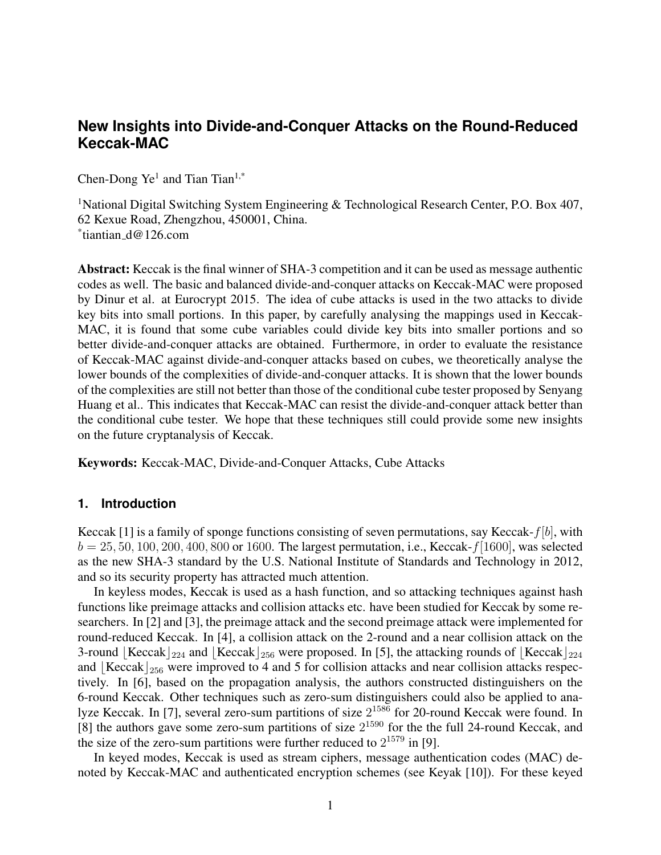# **New Insights into Divide-and-Conquer Attacks on the Round-Reduced Keccak-MAC**

Chen-Dong  $Ye^{1}$  and Tian Tian<sup>1,\*</sup>

<sup>1</sup>National Digital Switching System Engineering & Technological Research Center, P.O. Box 407, 62 Kexue Road, Zhengzhou, 450001, China. \* tiantian d@126.com

Abstract: Keccak is the final winner of SHA-3 competition and it can be used as message authentic codes as well. The basic and balanced divide-and-conquer attacks on Keccak-MAC were proposed by Dinur et al. at Eurocrypt 2015. The idea of cube attacks is used in the two attacks to divide key bits into small portions. In this paper, by carefully analysing the mappings used in Keccak-MAC, it is found that some cube variables could divide key bits into smaller portions and so better divide-and-conquer attacks are obtained. Furthermore, in order to evaluate the resistance of Keccak-MAC against divide-and-conquer attacks based on cubes, we theoretically analyse the lower bounds of the complexities of divide-and-conquer attacks. It is shown that the lower bounds of the complexities are still not better than those of the conditional cube tester proposed by Senyang Huang et al.. This indicates that Keccak-MAC can resist the divide-and-conquer attack better than the conditional cube tester. We hope that these techniques still could provide some new insights on the future cryptanalysis of Keccak.

Keywords: Keccak-MAC, Divide-and-Conquer Attacks, Cube Attacks

#### **1. Introduction**

Keccak [1] is a family of sponge functions consisting of seven permutations, say Keccak-*f*[*b*], with  $b = 25, 50, 100, 200, 400, 800$  or 1600. The largest permutation, i.e., Keccak- $f[1600]$ , was selected as the new SHA-3 standard by the U.S. National Institute of Standards and Technology in 2012, and so its security property has attracted much attention.

In keyless modes, Keccak is used as a hash function, and so attacking techniques against hash functions like preimage attacks and collision attacks etc. have been studied for Keccak by some researchers. In [2] and [3], the preimage attack and the second preimage attack were implemented for round-reduced Keccak. In [4], a collision attack on the 2-round and a near collision attack on the 3-round *⌊*Keccak*⌋*<sup>224</sup> and *⌊*Keccak*⌋*<sup>256</sup> were proposed. In [5], the attacking rounds of *⌊*Keccak*⌋*<sup>224</sup> and *Keccak*  $_2$ <sup>56</sup> were improved to 4 and 5 for collision attacks and near collision attacks respectively. In [6], based on the propagation analysis, the authors constructed distinguishers on the 6-round Keccak. Other techniques such as zero-sum distinguishers could also be applied to analyze Keccak. In [7], several zero-sum partitions of size  $2^{1586}$  for 20-round Keccak were found. In [8] the authors gave some zero-sum partitions of size  $2^{1590}$  for the the full 24-round Keccak, and the size of the zero-sum partitions were further reduced to  $2^{1579}$  in [9].

In keyed modes, Keccak is used as stream ciphers, message authentication codes (MAC) denoted by Keccak-MAC and authenticated encryption schemes (see Keyak [10]). For these keyed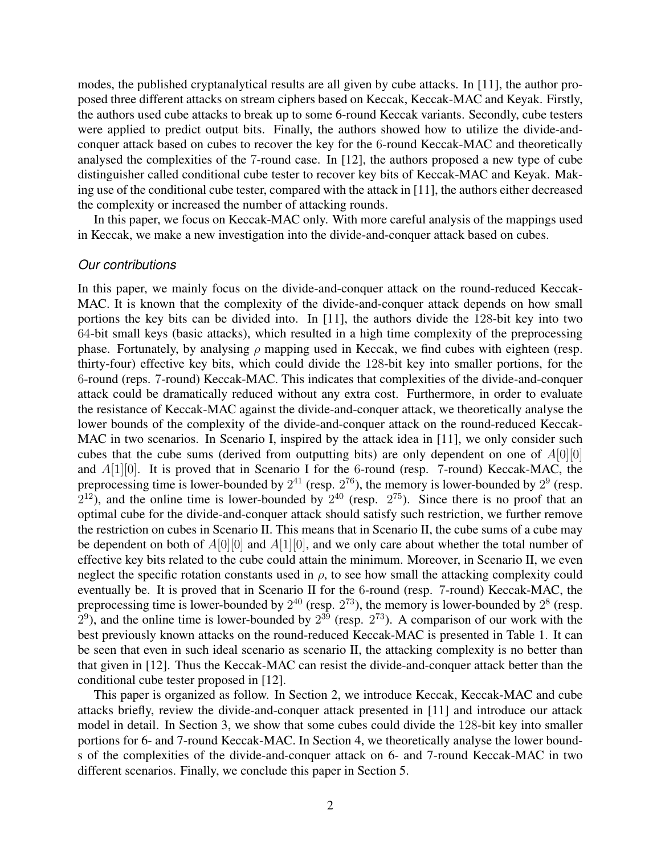modes, the published cryptanalytical results are all given by cube attacks. In [11], the author proposed three different attacks on stream ciphers based on Keccak, Keccak-MAC and Keyak. Firstly, the authors used cube attacks to break up to some 6-round Keccak variants. Secondly, cube testers were applied to predict output bits. Finally, the authors showed how to utilize the divide-andconquer attack based on cubes to recover the key for the 6-round Keccak-MAC and theoretically analysed the complexities of the 7-round case. In [12], the authors proposed a new type of cube distinguisher called conditional cube tester to recover key bits of Keccak-MAC and Keyak. Making use of the conditional cube tester, compared with the attack in [11], the authors either decreased the complexity or increased the number of attacking rounds.

In this paper, we focus on Keccak-MAC only. With more careful analysis of the mappings used in Keccak, we make a new investigation into the divide-and-conquer attack based on cubes.

### *Our contributions*

In this paper, we mainly focus on the divide-and-conquer attack on the round-reduced Keccak-MAC. It is known that the complexity of the divide-and-conquer attack depends on how small portions the key bits can be divided into. In [11], the authors divide the 128-bit key into two 64-bit small keys (basic attacks), which resulted in a high time complexity of the preprocessing phase. Fortunately, by analysing *ρ* mapping used in Keccak, we find cubes with eighteen (resp. thirty-four) effective key bits, which could divide the 128-bit key into smaller portions, for the 6-round (reps. 7-round) Keccak-MAC. This indicates that complexities of the divide-and-conquer attack could be dramatically reduced without any extra cost. Furthermore, in order to evaluate the resistance of Keccak-MAC against the divide-and-conquer attack, we theoretically analyse the lower bounds of the complexity of the divide-and-conquer attack on the round-reduced Keccak-MAC in two scenarios. In Scenario I, inspired by the attack idea in [11], we only consider such cubes that the cube sums (derived from outputting bits) are only dependent on one of *A*[0][0] and *A*[1][0]. It is proved that in Scenario I for the 6-round (resp. 7-round) Keccak-MAC, the preprocessing time is lower-bounded by  $2^{41}$  (resp.  $2^{76}$ ), the memory is lower-bounded by  $2^9$  (resp.  $2^{12}$ ), and the online time is lower-bounded by  $2^{40}$  (resp.  $2^{75}$ ). Since there is no proof that an optimal cube for the divide-and-conquer attack should satisfy such restriction, we further remove the restriction on cubes in Scenario II. This means that in Scenario II, the cube sums of a cube may be dependent on both of *A*[0][0] and *A*[1][0], and we only care about whether the total number of effective key bits related to the cube could attain the minimum. Moreover, in Scenario II, we even neglect the specific rotation constants used in  $\rho$ , to see how small the attacking complexity could eventually be. It is proved that in Scenario II for the 6-round (resp. 7-round) Keccak-MAC, the preprocessing time is lower-bounded by  $2^{40}$  (resp.  $2^{73}$ ), the memory is lower-bounded by  $2^8$  (resp.  $2<sup>9</sup>$ ), and the online time is lower-bounded by  $2<sup>39</sup>$  (resp.  $2<sup>73</sup>$ ). A comparison of our work with the best previously known attacks on the round-reduced Keccak-MAC is presented in Table 1. It can be seen that even in such ideal scenario as scenario II, the attacking complexity is no better than that given in [12]. Thus the Keccak-MAC can resist the divide-and-conquer attack better than the conditional cube tester proposed in [12].

This paper is organized as follow. In Section 2, we introduce Keccak, Keccak-MAC and cube attacks briefly, review the divide-and-conquer attack presented in [11] and introduce our attack model in detail. In Section 3, we show that some cubes could divide the 128-bit key into smaller portions for 6- and 7-round Keccak-MAC. In Section 4, we theoretically analyse the lower bounds of the complexities of the divide-and-conquer attack on 6- and 7-round Keccak-MAC in two different scenarios. Finally, we conclude this paper in Section 5.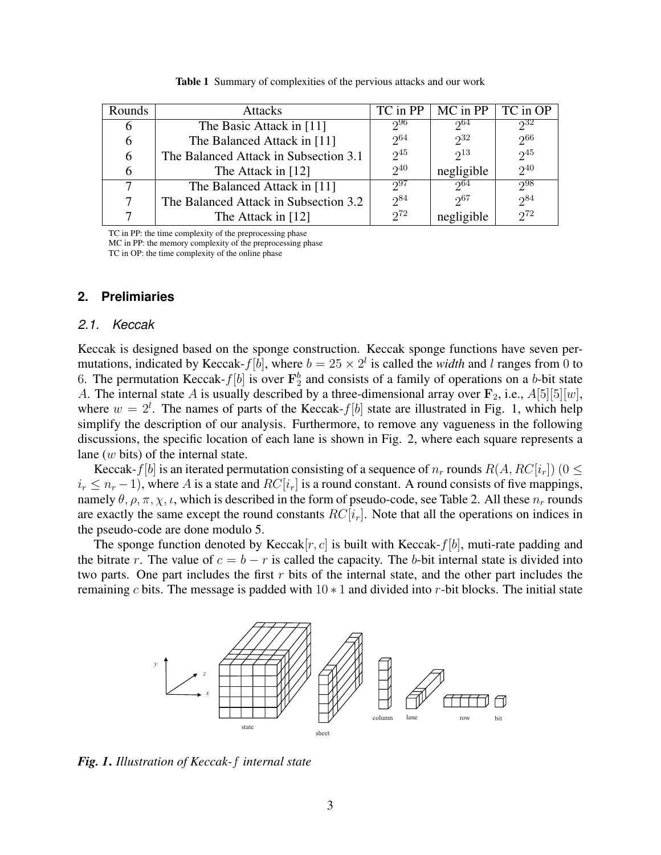| Rounds | <b>Attacks</b>                        | TC in PP | MC in PP   | TC in OP |
|--------|---------------------------------------|----------|------------|----------|
| h      | The Basic Attack in [11]              | 296      | $2^{64}$   | $2^{32}$ |
| 6      | The Balanced Attack in [11]           | $2^{64}$ | $2^{32}$   | $2^{66}$ |
| 6      | The Balanced Attack in Subsection 3.1 | $2^{45}$ | $2^{13}$   | $2^{45}$ |
| 6      | The Attack in [12]                    | $2^{40}$ | negligible | $2^{40}$ |
| 7      | The Balanced Attack in [11]           | $2^{97}$ | $2^{64}$   | $2^{98}$ |
| 7      | The Balanced Attack in Subsection 3.2 | $2^{84}$ | $2^{67}$   | $2^{84}$ |
|        | The Attack in $[12]$                  | $2^{72}$ | negligible | $2^{72}$ |

Table 1 Summary of complexities of the pervious attacks and our work

TC in PP: the time complexity of the preprocessing phase

MC in PP: the memory complexity of the preprocessing phase

TC in OP: the time complexity of the online phase

## **2. Prelimiaries**

#### *2.1. Keccak*

Keccak is designed based on the sponge construction. Keccak sponge functions have seven permutations, indicated by Keccak- $f[b]$ , where  $b = 25 \times 2^l$  is called the *width* and *l* ranges from 0 to 6. The permutation Keccak- $f[b]$  is over  $\mathbf{F}_2^b$  and consists of a family of operations on a *b*-bit state *A*. The internal state *A* is usually described by a three-dimensional array over  $\mathbf{F}_2$ , i.e.,  $A[5][5][w]$ , where  $w = 2^l$ . The names of parts of the Keccak- $f[b]$  state are illustrated in Fig. 1, which help simplify the description of our analysis. Furthermore, to remove any vagueness in the following discussions, the specific location of each lane is shown in Fig. 2, where each square represents a lane (*w* bits) of the internal state.

Keccak-*f*[*b*] is an iterated permutation consisting of a sequence of  $n_r$  rounds  $R(A, RC[i_r])$  (0  $\leq$  $i_r \leq n_r - 1$ ), where *A* is a state and  $RC[i_r]$  is a round constant. A round consists of five mappings, namely  $\theta$ ,  $\rho$ ,  $\pi$ ,  $\chi$ ,  $\iota$ , which is described in the form of pseudo-code, see Table 2. All these  $n_r$  rounds are exactly the same except the round constants  $RC[i_r]$ . Note that all the operations on indices in the pseudo-code are done modulo 5.

The sponge function denoted by Keccak $[r, c]$  is built with Keccak- $f[b]$ , muti-rate padding and the bitrate *r*. The value of  $c = b - r$  is called the capacity. The *b*-bit internal state is divided into two parts. One part includes the first *r* bits of the internal state, and the other part includes the remaining *c* bits. The message is padded with 10 *∗* 1 and divided into *r*-bit blocks. The initial state



*Fig. 1*. *Illustration of Keccak-f internal state*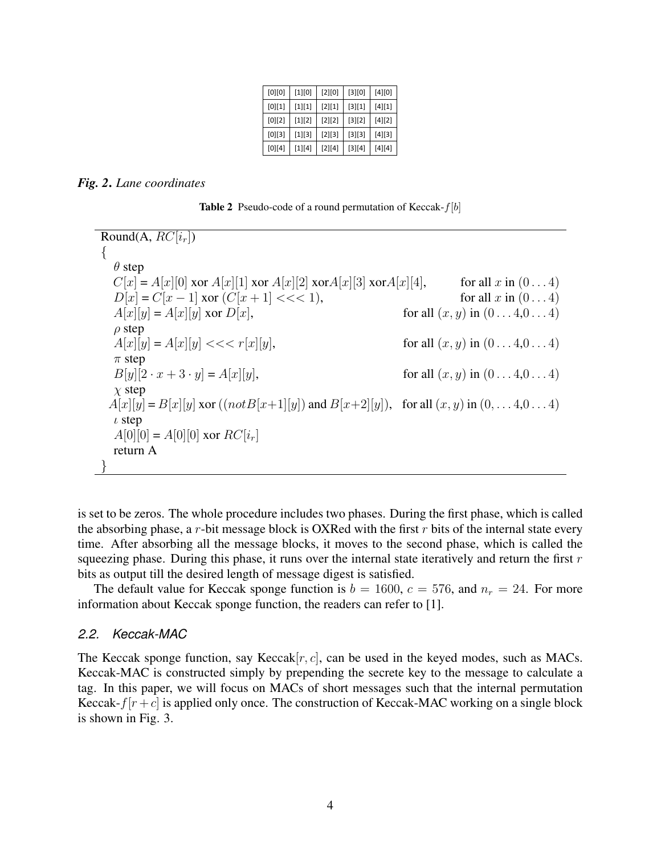| [0][0]   | $[1][0]$ | $[2][0]$ | $[3][0]$ | $[4][0]$ |
|----------|----------|----------|----------|----------|
| [0][1]   | $[1][1]$ | $[2][1]$ | $[3][1]$ | $[4][1]$ |
| $[0][2]$ | $[1][2]$ | $[2][2]$ | $[3][2]$ | $[4][2]$ |
| $[0][3]$ | $[1][3]$ | $[2][3]$ | $[3][3]$ | $[4][3]$ |
| [0][4]   | $[1][4]$ | $[2][4]$ | $[3][4]$ | $[4][4]$ |

#### *Fig. 2*. *Lane coordinates*

Table 2 Pseudo-code of a round permutation of Keccak-*f*[*b*]

Round(A,  $RC[i_r]$ ) *{ θ* step  $C[x] = A[x][0]$  xor  $A[x][1]$  xor  $A[x][2]$  xor $A[x][3]$  xor $A[x][4]$ , for all *x* in  $(0...4)$  $D[x] = C[x - 1]$  xor  $(C[x + 1] < < 1)$ , for all *x* in  $(0 \dots 4)$  $A[x][y] = A[x][y]$  xor  $D[x]$ , for all  $(x, y)$  in  $(0...4, 0...4)$ *ρ* step  $A[x][y] = A[x][y] \ll \ll r[x][y],$  for all  $(x, y)$  in  $(0 \ldots 4, 0 \ldots 4)$ *π* step  $B[y][2 \cdot x + 3 \cdot y] = A[x][y],$  for all  $(x, y)$  in  $(0 \dots 4, 0 \dots 4)$ *χ* step  $A[x][y] = B[x][y]$  xor (( $notB[x+1][y]$ ) and  $B[x+2][y]$ ), for all  $(x, y)$  in  $(0, \ldots, 4, 0 \ldots, 4)$ *ι* step  $A[0][0] = A[0][0]$  xor  $RC[i_r]$ return A *}*

is set to be zeros. The whole procedure includes two phases. During the first phase, which is called the absorbing phase, a *r*-bit message block is OXRed with the first *r* bits of the internal state every time. After absorbing all the message blocks, it moves to the second phase, which is called the squeezing phase. During this phase, it runs over the internal state iteratively and return the first *r* bits as output till the desired length of message digest is satisfied.

The default value for Keccak sponge function is  $b = 1600$ ,  $c = 576$ , and  $n_r = 24$ . For more information about Keccak sponge function, the readers can refer to [1].

#### *2.2. Keccak-MAC*

The Keccak sponge function, say Keccak[*r, c*], can be used in the keyed modes, such as MACs. Keccak-MAC is constructed simply by prepending the secrete key to the message to calculate a tag. In this paper, we will focus on MACs of short messages such that the internal permutation Keccak- $f[r+c]$  is applied only once. The construction of Keccak-MAC working on a single block is shown in Fig. 3.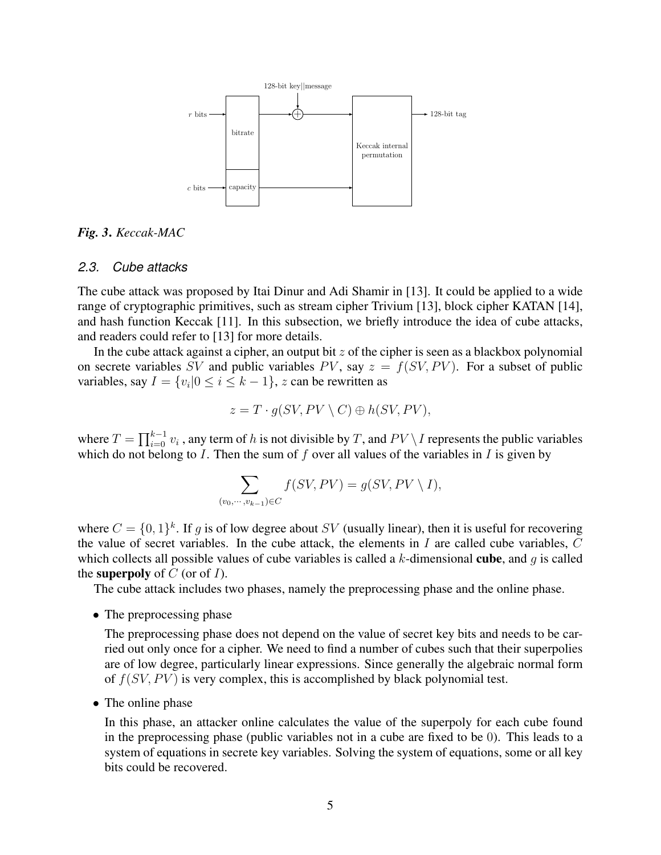

*Fig. 3*. *Keccak-MAC*

#### *2.3. Cube attacks*

The cube attack was proposed by Itai Dinur and Adi Shamir in [13]. It could be applied to a wide range of cryptographic primitives, such as stream cipher Trivium [13], block cipher KATAN [14], and hash function Keccak [11]. In this subsection, we briefly introduce the idea of cube attacks, and readers could refer to [13] for more details.

In the cube attack against a cipher, an output bit *z* of the cipher is seen as a blackbox polynomial on secrete variables *SV* and public variables *PV*, say  $z = f(SV, PV)$ . For a subset of public variables, say  $I = \{v_i | 0 \le i \le k - 1\}$ , *z* can be rewritten as

$$
z = T \cdot g(SV, PV \setminus C) \oplus h(SV, PV),
$$

where  $T = \prod_{i=0}^{k-1} v_i$ , any term of *h* is not divisible by *T*, and  $PV \setminus I$  represents the public variables which do not belong to *I*. Then the sum of *f* over all values of the variables in *I* is given by

$$
\sum_{(v_0, \cdots, v_{k-1}) \in C} f(SV, PV) = g(SV, PV \setminus I),
$$

where  $C = \{0, 1\}^k$ . If *g* is of low degree about *SV* (usually linear), then it is useful for recovering the value of secret variables. In the cube attack, the elements in *I* are called cube variables, *C* which collects all possible values of cube variables is called a *k*-dimensional cube, and *g* is called the superpoly of *C* (or of *I*).

The cube attack includes two phases, namely the preprocessing phase and the online phase.

*•* The preprocessing phase

The preprocessing phase does not depend on the value of secret key bits and needs to be carried out only once for a cipher. We need to find a number of cubes such that their superpolies are of low degree, particularly linear expressions. Since generally the algebraic normal form of  $f(SV, PV)$  is very complex, this is accomplished by black polynomial test.

*•* The online phase

In this phase, an attacker online calculates the value of the superpoly for each cube found in the preprocessing phase (public variables not in a cube are fixed to be 0). This leads to a system of equations in secrete key variables. Solving the system of equations, some or all key bits could be recovered.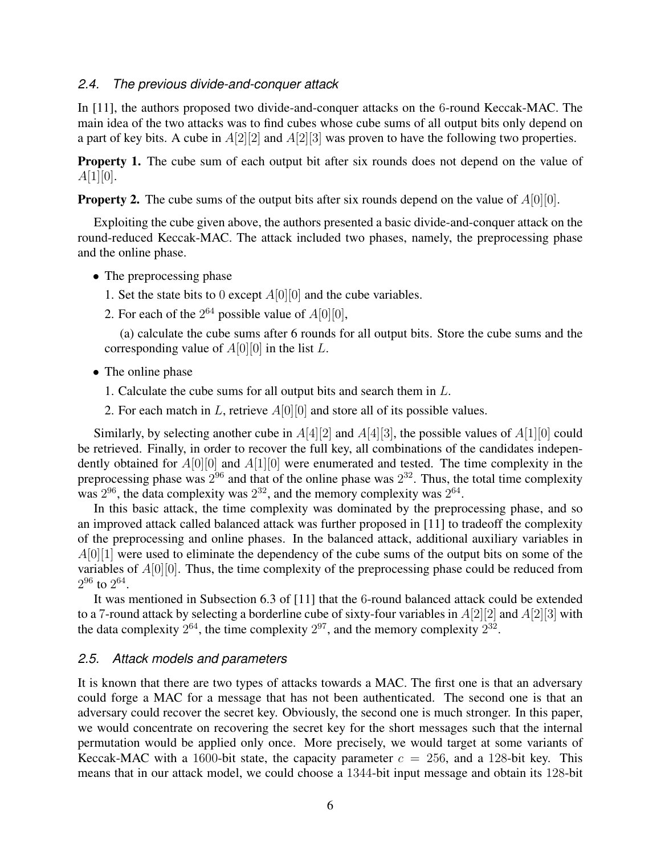#### *2.4. The previous divide-and-conquer attack*

In [11], the authors proposed two divide-and-conquer attacks on the 6-round Keccak-MAC. The main idea of the two attacks was to find cubes whose cube sums of all output bits only depend on a part of key bits. A cube in *A*[2][2] and *A*[2][3] was proven to have the following two properties.

**Property 1.** The cube sum of each output bit after six rounds does not depend on the value of *A*[1][0].

**Property 2.** The cube sums of the output bits after six rounds depend on the value of  $A[0][0]$ .

Exploiting the cube given above, the authors presented a basic divide-and-conquer attack on the round-reduced Keccak-MAC. The attack included two phases, namely, the preprocessing phase and the online phase.

- The preprocessing phase
	- 1. Set the state bits to 0 except *A*[0][0] and the cube variables.
	- 2. For each of the  $2^{64}$  possible value of  $A[0][0]$ ,

(a) calculate the cube sums after 6 rounds for all output bits. Store the cube sums and the corresponding value of *A*[0][0] in the list *L*.

- *•* The online phase
	- 1. Calculate the cube sums for all output bits and search them in *L*.
	- 2. For each match in *L*, retrieve *A*[0][0] and store all of its possible values.

Similarly, by selecting another cube in *A*[4][2] and *A*[4][3], the possible values of *A*[1][0] could be retrieved. Finally, in order to recover the full key, all combinations of the candidates independently obtained for *A*[0][0] and *A*[1][0] were enumerated and tested. The time complexity in the preprocessing phase was  $2^{96}$  and that of the online phase was  $2^{32}$ . Thus, the total time complexity was  $2^{96}$ , the data complexity was  $2^{32}$ , and the memory complexity was  $2^{64}$ .

In this basic attack, the time complexity was dominated by the preprocessing phase, and so an improved attack called balanced attack was further proposed in [11] to tradeoff the complexity of the preprocessing and online phases. In the balanced attack, additional auxiliary variables in *A*[0][1] were used to eliminate the dependency of the cube sums of the output bits on some of the variables of *A*[0][0]. Thus, the time complexity of the preprocessing phase could be reduced from  $2^{96}$  to  $2^{64}$ .

It was mentioned in Subsection 6.3 of [11] that the 6-round balanced attack could be extended to a 7-round attack by selecting a borderline cube of sixty-four variables in *A*[2][2] and *A*[2][3] with the data complexity  $2^{64}$ , the time complexity  $2^{97}$ , and the memory complexity  $2^{32}$ .

# *2.5. Attack models and parameters*

It is known that there are two types of attacks towards a MAC. The first one is that an adversary could forge a MAC for a message that has not been authenticated. The second one is that an adversary could recover the secret key. Obviously, the second one is much stronger. In this paper, we would concentrate on recovering the secret key for the short messages such that the internal permutation would be applied only once. More precisely, we would target at some variants of Keccak-MAC with a 1600-bit state, the capacity parameter  $c = 256$ , and a 128-bit key. This means that in our attack model, we could choose a 1344-bit input message and obtain its 128-bit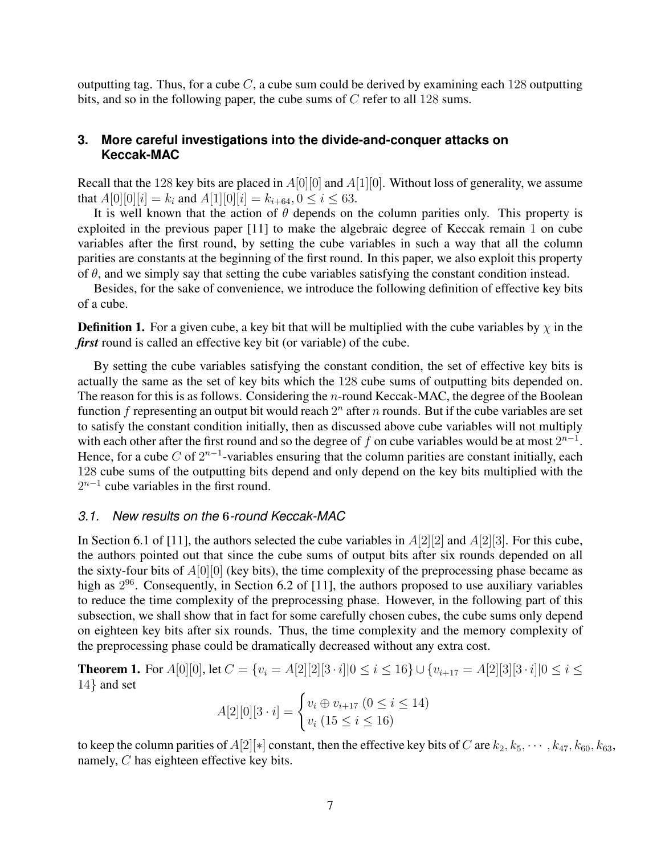outputting tag. Thus, for a cube *C*, a cube sum could be derived by examining each 128 outputting bits, and so in the following paper, the cube sums of *C* refer to all 128 sums.

# **3. More careful investigations into the divide-and-conquer attacks on Keccak-MAC**

Recall that the 128 key bits are placed in *A*[0][0] and *A*[1][0]. Without loss of generality, we assume that  $A[0][0][i] = k_i$  and  $A[1][0][i] = k_{i+64}, 0 \le i \le 63$ .

It is well known that the action of  $\theta$  depends on the column parities only. This property is exploited in the previous paper [11] to make the algebraic degree of Keccak remain 1 on cube variables after the first round, by setting the cube variables in such a way that all the column parities are constants at the beginning of the first round. In this paper, we also exploit this property of *θ*, and we simply say that setting the cube variables satisfying the constant condition instead.

Besides, for the sake of convenience, we introduce the following definition of effective key bits of a cube.

**Definition 1.** For a given cube, a key bit that will be multiplied with the cube variables by  $\chi$  in the *first* round is called an effective key bit (or variable) of the cube.

By setting the cube variables satisfying the constant condition, the set of effective key bits is actually the same as the set of key bits which the 128 cube sums of outputting bits depended on. The reason for this is as follows. Considering the *n*-round Keccak-MAC, the degree of the Boolean function *f* representing an output bit would reach  $2^n$  after *n* rounds. But if the cube variables are set to satisfy the constant condition initially, then as discussed above cube variables will not multiply with each other after the first round and so the degree of  $f$  on cube variables would be at most  $2^{n-1}$ . Hence, for a cube  $C$  of  $2^{n-1}$ -variables ensuring that the column parities are constant initially, each 128 cube sums of the outputting bits depend and only depend on the key bits multiplied with the 2<sup>*n*−1</sup> cube variables in the first round.

# *3.1. New results on the* **6***-round Keccak-MAC*

In Section 6.1 of [11], the authors selected the cube variables in *A*[2][2] and *A*[2][3]. For this cube, the authors pointed out that since the cube sums of output bits after six rounds depended on all the sixty-four bits of *A*[0][0] (key bits), the time complexity of the preprocessing phase became as high as  $2^{96}$ . Consequently, in Section 6.2 of [11], the authors proposed to use auxiliary variables to reduce the time complexity of the preprocessing phase. However, in the following part of this subsection, we shall show that in fact for some carefully chosen cubes, the cube sums only depend on eighteen key bits after six rounds. Thus, the time complexity and the memory complexity of the preprocessing phase could be dramatically decreased without any extra cost.

**Theorem 1.** For  $A[0][0]$ , let  $C = \{v_i = A[2][2][3 \cdot i] | 0 \le i \le 16\} \cup \{v_{i+17} = A[2][3][3 \cdot i] | 0 \le i \le 16\}$ 14*}* and set

$$
A[2][0][3 \cdot i] = \begin{cases} v_i \oplus v_{i+17} \ (0 \le i \le 14) \\ v_i \ (15 \le i \le 16) \end{cases}
$$

to keep the column parities of  $A[2][*]$  constant, then the effective key bits of *C* are  $k_2, k_5, \cdots, k_{47}, k_{60}, k_{63}$ , namely, *C* has eighteen effective key bits.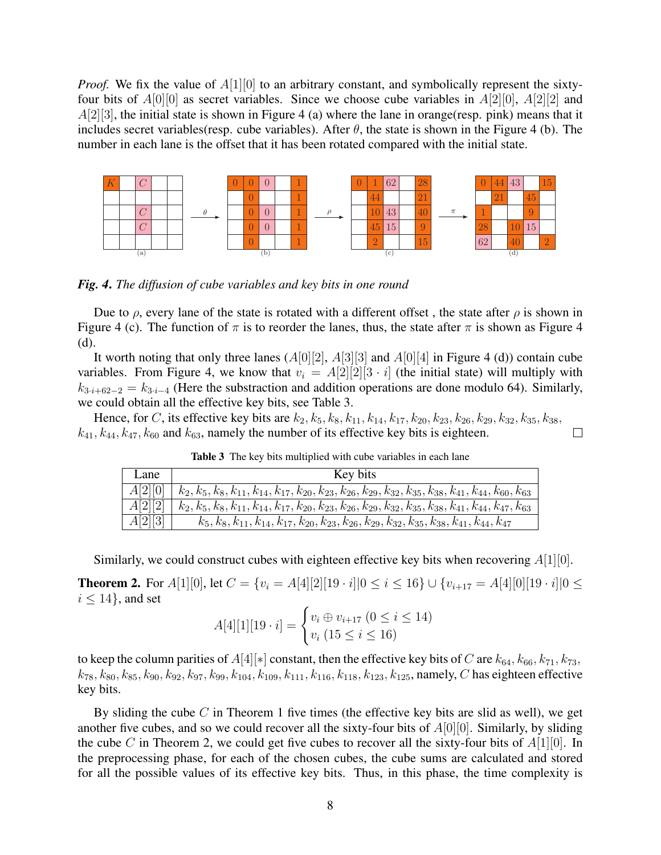*Proof.* We fix the value of  $A[1][0]$  to an arbitrary constant, and symbolically represent the sixtyfour bits of *A*[0][0] as secret variables. Since we choose cube variables in *A*[2][0], *A*[2][2] and *A*[2][3], the initial state is shown in Figure 4 (a) where the lane in orange(resp. pink) means that it includes secret variables(resp. cube variables). After  $\theta$ , the state is shown in the Figure 4 (b). The number in each lane is the offset that it has been rotated compared with the initial state.



*Fig. 4*. *The diffusion of cube variables and key bits in one round*

Due to  $\rho$ , every lane of the state is rotated with a different offset, the state after  $\rho$  is shown in Figure 4 (c). The function of  $\pi$  is to reorder the lanes, thus, the state after  $\pi$  is shown as Figure 4 (d).

It worth noting that only three lanes (*A*[0][2], *A*[3][3] and *A*[0][4] in Figure 4 (d)) contain cube variables. From Figure 4, we know that  $v_i = A[2][2][3 \cdot i]$  (the initial state) will multiply with  $k_{3*i+62–2*} = k_{3*i–4*}$  (Here the substraction and addition operations are done modulo 64). Similarly, we could obtain all the effective key bits, see Table 3.

Hence, for *C*, its effective key bits are  $k_2, k_5, k_8, k_{11}, k_{14}, k_{17}, k_{20}, k_{23}, k_{26}, k_{29}, k_{32}, k_{35}, k_{38}$  $k_{41}, k_{44}, k_{47}, k_{60}$  and  $k_{63}$ , namely the number of its effective key bits is eighteen.

| Lane    | Key bits                                                                                                                        |
|---------|---------------------------------------------------------------------------------------------------------------------------------|
| A[2][0] | $k_2, k_5, k_8, k_{11}, k_{14}, k_{17}, k_{20}, k_{23}, k_{26}, k_{29}, k_{32}, k_{35}, k_{38}, k_{41}, k_{44}, k_{60}, k_{63}$ |
| A[2][2] | $k_2, k_5, k_8, k_{11}, k_{14}, k_{17}, k_{20}, k_{23}, k_{26}, k_{29}, k_{32}, k_{35}, k_{38}, k_{41}, k_{44}, k_{47}, k_{63}$ |
| A[2][3] | $k_5, k_8, k_{11}, k_{14}, k_{17}, k_{20}, k_{23}, k_{26}, k_{29}, k_{32}, k_{35}, k_{38}, k_{41}, k_{44}, k_{47}$              |

Table 3 The key bits multiplied with cube variables in each lane

 $\Box$ 

Similarly, we could construct cubes with eighteen effective key bits when recovering *A*[1][0].

**Theorem 2.** For  $A[1][0]$ , let  $C = \{v_i = A[4][2][19 \cdot i]|0 \le i \le 16\} \cup \{v_{i+17} = A[4][0][19 \cdot i]|0 \le i \le 16\}$  $i \leq 14$ , and set

$$
A[4][1][19 \cdot i] = \begin{cases} v_i \oplus v_{i+17} \ (0 \le i \le 14) \\ v_i \ (15 \le i \le 16) \end{cases}
$$

to keep the column parities of  $A[4][*]$  constant, then the effective key bits of *C* are  $k_{64}$ ,  $k_{66}$ ,  $k_{71}$ ,  $k_{73}$ ,  $k_{78}, k_{80}, k_{85}, k_{90}, k_{92}, k_{97}, k_{99}, k_{104}, k_{109}, k_{111}, k_{116}, k_{118}, k_{123}, k_{125}$ , namely, *C* has eighteen effective key bits.

By sliding the cube *C* in Theorem 1 five times (the effective key bits are slid as well), we get another five cubes, and so we could recover all the sixty-four bits of *A*[0][0]. Similarly, by sliding the cube *C* in Theorem 2, we could get five cubes to recover all the sixty-four bits of *A*[1][0]. In the preprocessing phase, for each of the chosen cubes, the cube sums are calculated and stored for all the possible values of its effective key bits. Thus, in this phase, the time complexity is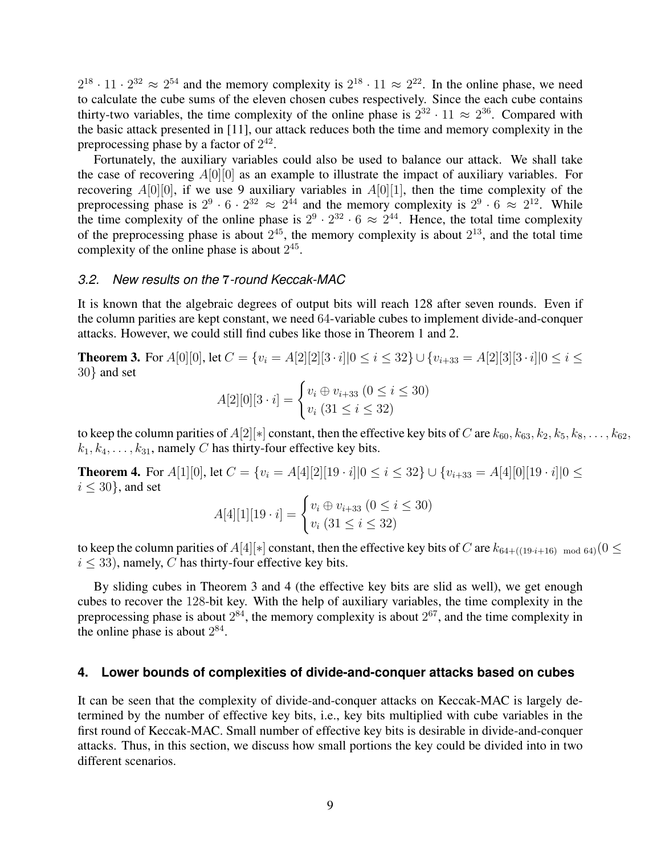$2^{18} \cdot 11 \cdot 2^{32} \approx 2^{54}$  and the memory complexity is  $2^{18} \cdot 11 \approx 2^{22}$ . In the online phase, we need to calculate the cube sums of the eleven chosen cubes respectively. Since the each cube contains thirty-two variables, the time complexity of the online phase is  $2^{32} \cdot 11 \approx 2^{36}$ . Compared with the basic attack presented in [11], our attack reduces both the time and memory complexity in the preprocessing phase by a factor of  $2^{42}$ .

Fortunately, the auxiliary variables could also be used to balance our attack. We shall take the case of recovering *A*[0][0] as an example to illustrate the impact of auxiliary variables. For recovering  $A[0][0]$ , if we use 9 auxiliary variables in  $A[0][1]$ , then the time complexity of the preprocessing phase is  $2^9 \cdot 6 \cdot 2^{32} \approx 2^{44}$  and the memory complexity is  $2^9 \cdot 6 \approx 2^{12}$ . While the time complexity of the online phase is  $2^9 \cdot 2^{32} \cdot 6 \approx 2^{44}$ . Hence, the total time complexity of the preprocessing phase is about  $2^{45}$ , the memory complexity is about  $2^{13}$ , and the total time complexity of the online phase is about  $2^{45}$ .

### *3.2. New results on the* **7***-round Keccak-MAC*

It is known that the algebraic degrees of output bits will reach 128 after seven rounds. Even if the column parities are kept constant, we need 64-variable cubes to implement divide-and-conquer attacks. However, we could still find cubes like those in Theorem 1 and 2.

**Theorem 3.** For  $A[0][0]$ , let  $C = \{v_i = A[2][2][3 \cdot i] | 0 \le i \le 32\} \cup \{v_{i+33} = A[2][3][3 \cdot i] | 0 \le i \le 32\}$ 30*}* and set

$$
A[2][0][3 \cdot i] = \begin{cases} v_i \oplus v_{i+33} \ (0 \le i \le 30) \\ v_i \ (31 \le i \le 32) \end{cases}
$$

to keep the column parities of  $A[2][*]$  constant, then the effective key bits of *C* are  $k_{60}, k_{63}, k_2, k_5, k_8, \ldots, k_{62}$ ,  $k_1, k_4, \ldots, k_{31}$ , namely *C* has thirty-four effective key bits.

**Theorem 4.** For  $A[1][0]$ , let  $C = \{v_i = A[4][2][19 \cdot i] | 0 \le i \le 32\} \cup \{v_{i+33} = A[4][0][19 \cdot i] | 0 \le i \le 32\}$ *i ≤* 30*}*, and set

$$
A[4][1][19 \cdot i] = \begin{cases} v_i \oplus v_{i+33} \ (0 \le i \le 30) \\ v_i \ (31 \le i \le 32) \end{cases}
$$

to keep the column parities of  $A[4][*]$  constant, then the effective key bits of *C* are  $k_{64+((19*i*+16)) \mod 64$ )}(0 < \infty*i ≤* 33), namely, *C* has thirty-four effective key bits.

By sliding cubes in Theorem 3 and 4 (the effective key bits are slid as well), we get enough cubes to recover the 128-bit key. With the help of auxiliary variables, the time complexity in the preprocessing phase is about  $2^{84}$ , the memory complexity is about  $2^{67}$ , and the time complexity in the online phase is about  $2^{84}$ .

### **4. Lower bounds of complexities of divide-and-conquer attacks based on cubes**

It can be seen that the complexity of divide-and-conquer attacks on Keccak-MAC is largely determined by the number of effective key bits, i.e., key bits multiplied with cube variables in the first round of Keccak-MAC. Small number of effective key bits is desirable in divide-and-conquer attacks. Thus, in this section, we discuss how small portions the key could be divided into in two different scenarios.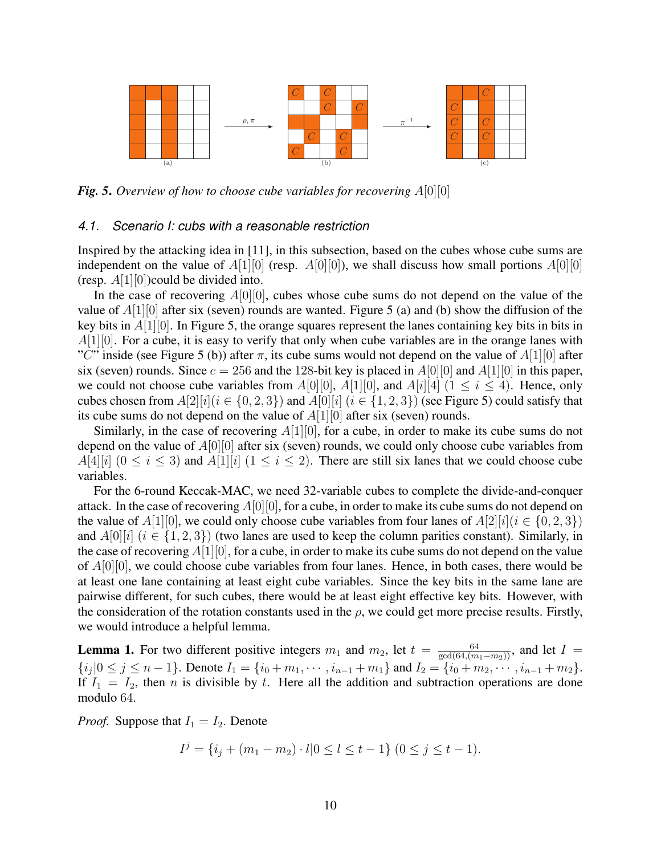

*Fig. 5*. *Overview of how to choose cube variables for recovering A*[0][0]

### *4.1. Scenario I: cubs with a reasonable restriction*

Inspired by the attacking idea in [11], in this subsection, based on the cubes whose cube sums are independent on the value of  $A[1][0]$  (resp.  $A[0][0]$ ), we shall discuss how small portions  $A[0][0]$ (resp. *A*[1][0])could be divided into.

In the case of recovering *A*[0][0], cubes whose cube sums do not depend on the value of the value of *A*[1][0] after six (seven) rounds are wanted. Figure 5 (a) and (b) show the diffusion of the key bits in *A*[1][0]. In Figure 5, the orange squares represent the lanes containing key bits in bits in *A*[1][0]. For a cube, it is easy to verify that only when cube variables are in the orange lanes with "*C*" inside (see Figure 5 (b)) after  $\pi$ , its cube sums would not depend on the value of *A*[1][0] after six (seven) rounds. Since  $c = 256$  and the 128-bit key is placed in  $A[0][0]$  and  $A[1][0]$  in this paper, we could not choose cube variables from  $A[0][0]$ ,  $A[1][0]$ , and  $A[i][4]$  ( $1 \le i \le 4$ ). Hence, only cubes chosen from  $A[2][i](i \in \{0, 2, 3\})$  and  $A[0][i]$  ( $i \in \{1, 2, 3\}$ ) (see Figure 5) could satisfy that its cube sums do not depend on the value of *A*[1][0] after six (seven) rounds.

Similarly, in the case of recovering  $A[1][0]$ , for a cube, in order to make its cube sums do not depend on the value of *A*[0][0] after six (seven) rounds, we could only choose cube variables from *A*[4][*i*] ( $0 \le i \le 3$ ) and *A*[1][*i*] ( $1 \le i \le 2$ ). There are still six lanes that we could choose cube variables.

For the 6-round Keccak-MAC, we need 32-variable cubes to complete the divide-and-conquer attack. In the case of recovering *A*[0][0], for a cube, in order to make its cube sums do not depend on the value of  $A[1][0]$ , we could only choose cube variables from four lanes of  $A[2][i]$  ( $i \in \{0, 2, 3\}$ ) and  $A[0][i]$  ( $i \in \{1, 2, 3\}$ ) (two lanes are used to keep the column parities constant). Similarly, in the case of recovering *A*[1][0], for a cube, in order to make its cube sums do not depend on the value of *A*[0][0], we could choose cube variables from four lanes. Hence, in both cases, there would be at least one lane containing at least eight cube variables. Since the key bits in the same lane are pairwise different, for such cubes, there would be at least eight effective key bits. However, with the consideration of the rotation constants used in the  $\rho$ , we could get more precise results. Firstly, we would introduce a helpful lemma.

**Lemma 1.** For two different positive integers  $m_1$  and  $m_2$ , let  $t = \frac{64}{\gcd(64, (m_1 - m_2))}$ , and let  $I =$  ${i_j|0 \le j \le n-1}.$  Denote  $I_1 = {i_0 + m_1, \cdots, i_{n-1} + m_1}$  and  $I_2 = {i_0 + m_2, \cdots, i_{n-1} + m_2}.$ If  $I_1 = I_2$ , then *n* is divisible by *t*. Here all the addition and subtraction operations are done modulo 64.

*Proof.* Suppose that  $I_1 = I_2$ . Denote

$$
I^{j} = \{i_j + (m_1 - m_2) \cdot l | 0 \le l \le t - 1\} (0 \le j \le t - 1).
$$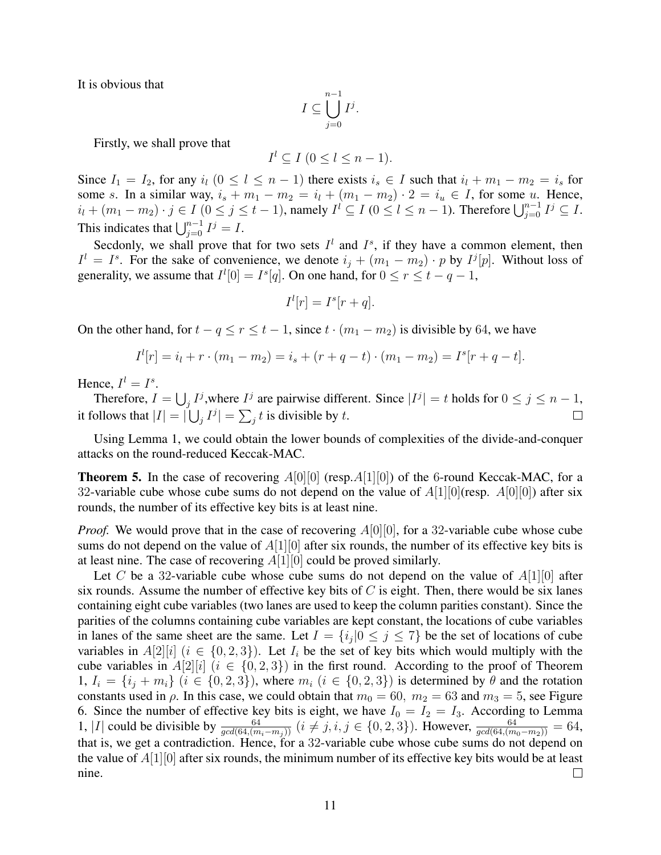It is obvious that

$$
I\subseteq \bigcup_{j=0}^{n-1}I^j.
$$

Firstly, we shall prove that

$$
I^l \subseteq I \ (0 \leq l \leq n-1).
$$

Since  $I_1 = I_2$ , for any  $i_l$   $(0 \le l \le n-1)$  there exists  $i_s \in I$  such that  $i_l + m_1 - m_2 = i_s$  for some *s*. In a similar way,  $i_s + m_1 - m_2 = i_l + (m_1 - m_2) \cdot 2 = i_u \in I$ , for some *u*. Hence,  $i_l + (m_1 - m_2) \cdot j \in I$   $(0 \le j \le t - 1)$ , namely  $I^l \subseteq I$   $(0 \le l \le n - 1)$ . Therefore  $\bigcup_{j=0}^{n-1} I^j \subseteq I$ . This indicates that  $\bigcup_{j=0}^{n-1} I^j = I$ .

Secdonly, we shall prove that for two sets  $I^l$  and  $I^s$ , if they have a common element, then  $I^l = I^s$ . For the sake of convenience, we denote  $i_j + (m_1 - m_2) \cdot p$  by  $I^j[p]$ . Without loss of generality, we assume that  $I^l[0] = I^s[q]$ . On one hand, for  $0 \le r \le t - q - 1$ ,

$$
I^l[r] = I^s[r+q].
$$

On the other hand, for  $t - q \le r \le t - 1$ , since  $t \cdot (m_1 - m_2)$  is divisible by 64, we have

$$
Il[r] = il + r \cdot (m1 - m2) = is + (r + q - t) \cdot (m1 - m2) = Is[r + q - t].
$$

Hence,  $I^l = I^s$ .

Therefore,  $I = \bigcup_j I^j$ , where  $I^j$  are pairwise different. Since  $|I^j| = t$  holds for  $0 \le j \le n - 1$ , it follows that  $|I| = |\bigcup_j I^j| = \sum_j t$  is divisible by *t*.  $\Box$ 

Using Lemma 1, we could obtain the lower bounds of complexities of the divide-and-conquer attacks on the round-reduced Keccak-MAC.

**Theorem 5.** In the case of recovering  $A[0][0]$  (resp. $A[1][0]$ ) of the 6-round Keccak-MAC, for a 32-variable cube whose cube sums do not depend on the value of *A*[1][0](resp. *A*[0][0]) after six rounds, the number of its effective key bits is at least nine.

*Proof.* We would prove that in the case of recovering  $A[0][0]$ , for a 32-variable cube whose cube sums do not depend on the value of *A*[1][0] after six rounds, the number of its effective key bits is at least nine. The case of recovering *A*[1][0] could be proved similarly.

Let *C* be a 32-variable cube whose cube sums do not depend on the value of *A*[1][0] after six rounds. Assume the number of effective key bits of  $C$  is eight. Then, there would be six lanes containing eight cube variables (two lanes are used to keep the column parities constant). Since the parities of the columns containing cube variables are kept constant, the locations of cube variables in lanes of the same sheet are the same. Let  $I = \{i_j | 0 \le j \le 7\}$  be the set of locations of cube variables in  $A[2][i]$  ( $i \in \{0,2,3\}$ ). Let  $I_i$  be the set of key bits which would multiply with the cube variables in  $A[2][i]$  ( $i \in \{0,2,3\}$ ) in the first round. According to the proof of Theorem 1,  $I_i = \{i_j + m_i\}$   $(i \in \{0, 2, 3\})$ , where  $m_i$   $(i \in \{0, 2, 3\})$  is determined by  $\theta$  and the rotation constants used in  $\rho$ . In this case, we could obtain that  $m_0 = 60$ ,  $m_2 = 63$  and  $m_3 = 5$ , see Figure 6. Since the number of effective key bits is eight, we have  $I_0 = I_2 = I_3$ . According to Lemma 1, |I| could be divisible by  $\frac{64}{gcd(64,(m_i-m_j))}$   $(i \neq j, i, j \in \{0,2,3\})$ . However,  $\frac{64}{gcd(64,(m_0-m_2))} = 64$ , that is, we get a contradiction. Hence, for a 32-variable cube whose cube sums do not depend on the value of *A*[1][0] after six rounds, the minimum number of its effective key bits would be at least nine.  $\Box$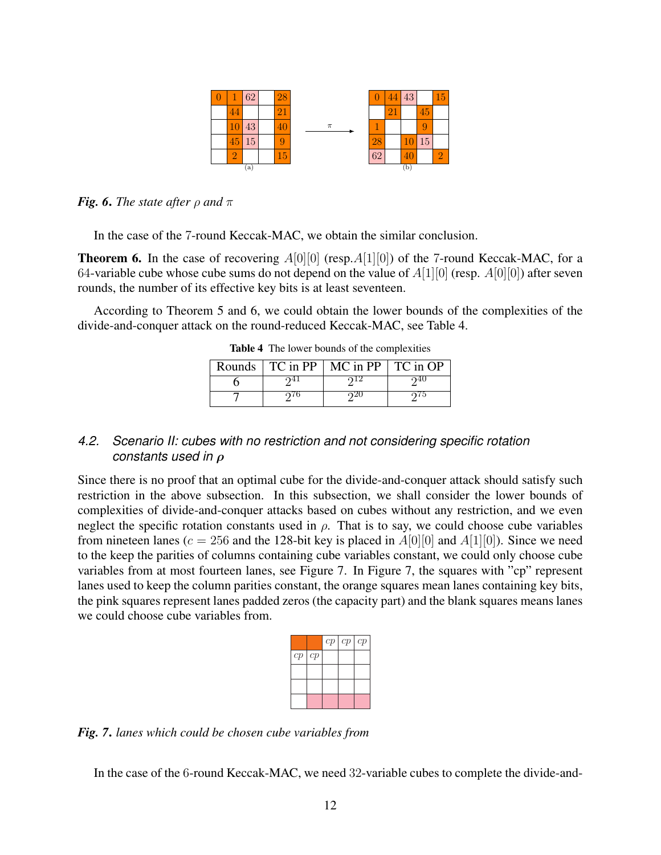

*Fig.* 6. *The state after*  $\rho$  *and*  $\pi$ 

In the case of the 7-round Keccak-MAC, we obtain the similar conclusion.

**Theorem 6.** In the case of recovering  $A[0][0]$  (resp. $A[1][0]$ ) of the 7-round Keccak-MAC, for a 64-variable cube whose cube sums do not depend on the value of *A*[1][0] (resp. *A*[0][0]) after seven rounds, the number of its effective key bits is at least seventeen.

According to Theorem 5 and 6, we could obtain the lower bounds of the complexities of the divide-and-conquer attack on the round-reduced Keccak-MAC, see Table 4.

|  | Rounds $\vert$ TC in PP $\vert$ MC in PP $\vert$ TC in OP |  |
|--|-----------------------------------------------------------|--|
|  |                                                           |  |
|  |                                                           |  |

Table 4 The lower bounds of the complexities

# *4.2. Scenario II: cubes with no restriction and not considering specific rotation constants used in ρ*

Since there is no proof that an optimal cube for the divide-and-conquer attack should satisfy such restriction in the above subsection. In this subsection, we shall consider the lower bounds of complexities of divide-and-conquer attacks based on cubes without any restriction, and we even neglect the specific rotation constants used in  $\rho$ . That is to say, we could choose cube variables from nineteen lanes ( $c = 256$  and the 128-bit key is placed in  $A[0][0]$  and  $A[1][0]$ ). Since we need to the keep the parities of columns containing cube variables constant, we could only choose cube variables from at most fourteen lanes, see Figure 7. In Figure 7, the squares with "cp" represent lanes used to keep the column parities constant, the orange squares mean lanes containing key bits, the pink squares represent lanes padded zeros (the capacity part) and the blank squares means lanes we could choose cube variables from.

|              | cp   cp   cp |  |
|--------------|--------------|--|
| $cp \mid cp$ |              |  |
|              |              |  |
|              |              |  |
|              |              |  |

*Fig. 7*. *lanes which could be chosen cube variables from*

In the case of the 6-round Keccak-MAC, we need 32-variable cubes to complete the divide-and-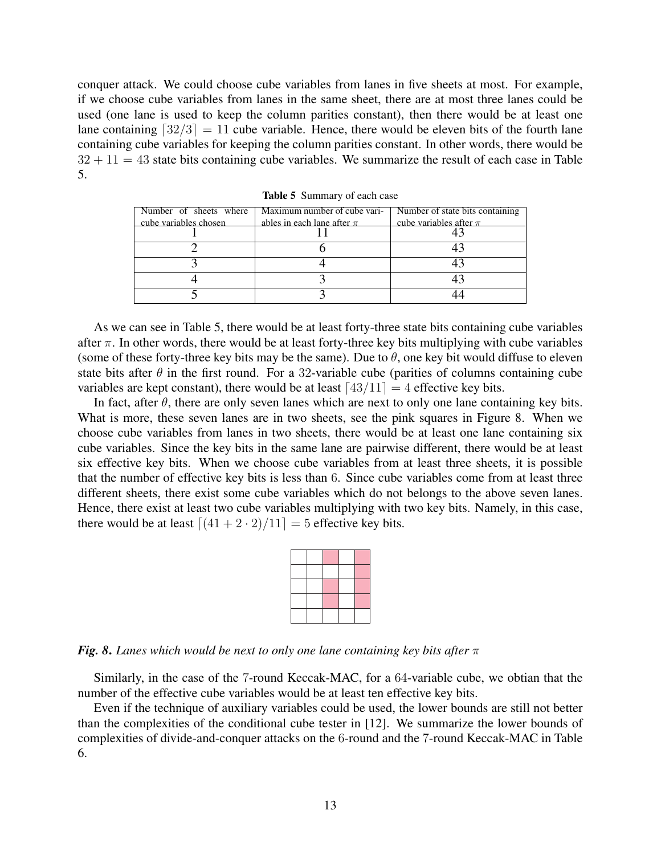conquer attack. We could choose cube variables from lanes in five sheets at most. For example, if we choose cube variables from lanes in the same sheet, there are at most three lanes could be used (one lane is used to keep the column parities constant), then there would be at least one lane containing  $\lceil 32/3 \rceil = 11$  cube variable. Hence, there would be eleven bits of the fourth lane containing cube variables for keeping the column parities constant. In other words, there would be  $32 + 11 = 43$  state bits containing cube variables. We summarize the result of each case in Table 5.

| Number of sheets where | Maximum number of cube vari-   | Number of state bits containing |
|------------------------|--------------------------------|---------------------------------|
| cube variables chosen  | ables in each lane after $\pi$ | cube variables after $\pi$      |
|                        |                                |                                 |
|                        |                                |                                 |
|                        |                                |                                 |
|                        |                                |                                 |
|                        |                                |                                 |

Table 5 Summary of each case

As we can see in Table 5, there would be at least forty-three state bits containing cube variables after  $\pi$ . In other words, there would be at least forty-three key bits multiplying with cube variables (some of these forty-three key bits may be the same). Due to  $\theta$ , one key bit would diffuse to eleven state bits after  $\theta$  in the first round. For a 32-variable cube (parities of columns containing cube variables are kept constant), there would be at least  $\lceil 43/11 \rceil = 4$  effective key bits.

In fact, after  $\theta$ , there are only seven lanes which are next to only one lane containing key bits. What is more, these seven lanes are in two sheets, see the pink squares in Figure 8. When we choose cube variables from lanes in two sheets, there would be at least one lane containing six cube variables. Since the key bits in the same lane are pairwise different, there would be at least six effective key bits. When we choose cube variables from at least three sheets, it is possible that the number of effective key bits is less than 6. Since cube variables come from at least three different sheets, there exist some cube variables which do not belongs to the above seven lanes. Hence, there exist at least two cube variables multiplying with two key bits. Namely, in this case, there would be at least  $\lceil (41 + 2 \cdot 2)/11 \rceil = 5$  effective key bits.

*Fig. 8*. *Lanes which would be next to only one lane containing key bits after π*

Similarly, in the case of the 7-round Keccak-MAC, for a 64-variable cube, we obtian that the number of the effective cube variables would be at least ten effective key bits.

Even if the technique of auxiliary variables could be used, the lower bounds are still not better than the complexities of the conditional cube tester in [12]. We summarize the lower bounds of complexities of divide-and-conquer attacks on the 6-round and the 7-round Keccak-MAC in Table 6.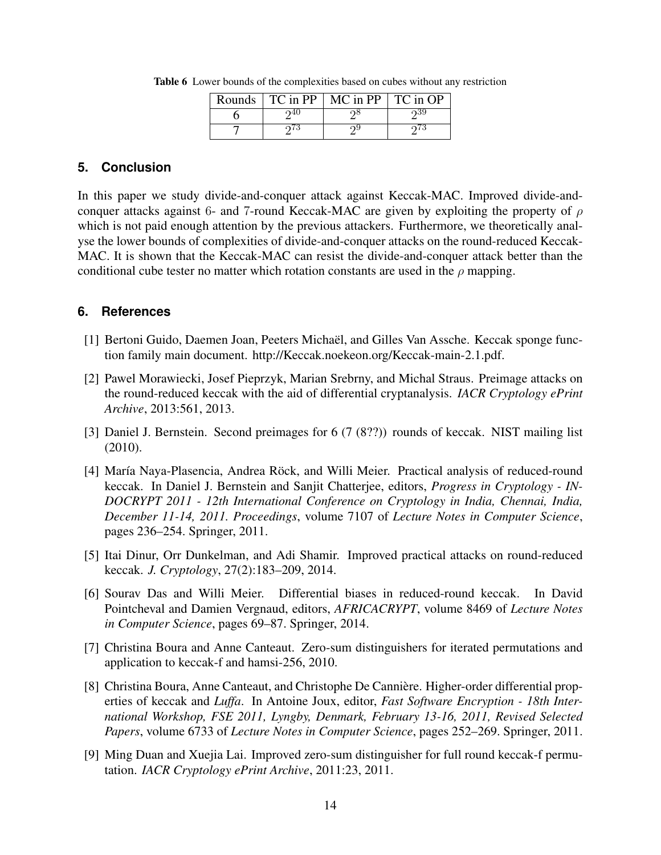|  | Rounds $\vert$ TC in PP $\vert$ MC in PP $\vert$ TC in OP |     |
|--|-----------------------------------------------------------|-----|
|  |                                                           | 539 |
|  |                                                           |     |

Table 6 Lower bounds of the complexities based on cubes without any restriction

# **5. Conclusion**

In this paper we study divide-and-conquer attack against Keccak-MAC. Improved divide-andconquer attacks against 6- and 7-round Keccak-MAC are given by exploiting the property of *ρ* which is not paid enough attention by the previous attackers. Furthermore, we theoretically analyse the lower bounds of complexities of divide-and-conquer attacks on the round-reduced Keccak-MAC. It is shown that the Keccak-MAC can resist the divide-and-conquer attack better than the conditional cube tester no matter which rotation constants are used in the  $\rho$  mapping.

# **6. References**

- [1] Bertoni Guido, Daemen Joan, Peeters Michaël, and Gilles Van Assche. Keccak sponge function family main document. http://Keccak.noekeon.org/Keccak-main-2.1.pdf.
- [2] Pawel Morawiecki, Josef Pieprzyk, Marian Srebrny, and Michal Straus. Preimage attacks on the round-reduced keccak with the aid of differential cryptanalysis. *IACR Cryptology ePrint Archive*, 2013:561, 2013.
- [3] Daniel J. Bernstein. Second preimages for 6 (7 (8??)) rounds of keccak. NIST mailing list (2010).
- [4] María Naya-Plasencia, Andrea Röck, and Willi Meier. Practical analysis of reduced-round keccak. In Daniel J. Bernstein and Sanjit Chatterjee, editors, *Progress in Cryptology - IN-DOCRYPT 2011 - 12th International Conference on Cryptology in India, Chennai, India, December 11-14, 2011. Proceedings*, volume 7107 of *Lecture Notes in Computer Science*, pages 236–254. Springer, 2011.
- [5] Itai Dinur, Orr Dunkelman, and Adi Shamir. Improved practical attacks on round-reduced keccak. *J. Cryptology*, 27(2):183–209, 2014.
- [6] Sourav Das and Willi Meier. Differential biases in reduced-round keccak. In David Pointcheval and Damien Vergnaud, editors, *AFRICACRYPT*, volume 8469 of *Lecture Notes in Computer Science*, pages 69–87. Springer, 2014.
- [7] Christina Boura and Anne Canteaut. Zero-sum distinguishers for iterated permutations and application to keccak-f and hamsi-256, 2010.
- [8] Christina Boura, Anne Canteaut, and Christophe De Canniere. Higher-order differential prop- ` erties of keccak and *Luffa*. In Antoine Joux, editor, *Fast Software Encryption - 18th International Workshop, FSE 2011, Lyngby, Denmark, February 13-16, 2011, Revised Selected Papers*, volume 6733 of *Lecture Notes in Computer Science*, pages 252–269. Springer, 2011.
- [9] Ming Duan and Xuejia Lai. Improved zero-sum distinguisher for full round keccak-f permutation. *IACR Cryptology ePrint Archive*, 2011:23, 2011.